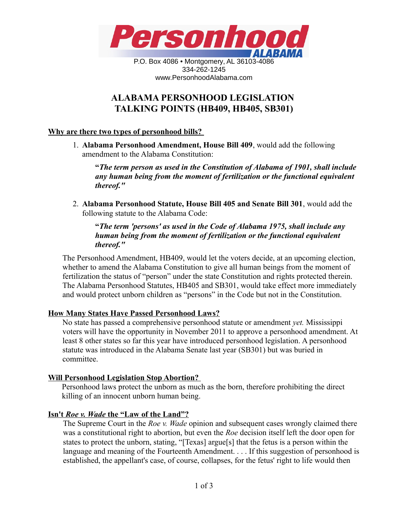

P.O. Box 4086 • Montgomery, AL 36103-4086 334-262-1245 www.PersonhoodAlabama.com

# **ALABAMA PERSONHOOD LEGISLATION TALKING POINTS (HB409, HB405, SB301)**

# **Why are there two types of personhood bills?**

1. **Alabama Personhood Amendment, House Bill 409**, would add the following amendment to the Alabama Constitution:

**"***The term person as used in the Constitution of Alabama of 1901, shall include any human being from the moment of fertilization or the functional equivalent thereof."*

2. **Alabama Personhood Statute, House Bill 405 and Senate Bill 301**, would add the following statute to the Alabama Code:

**"***The term 'persons' as used in the Code of Alabama 1975, shall include any human being from the moment of fertilization or the functional equivalent thereof."*

The Personhood Amendment, HB409, would let the voters decide, at an upcoming election, whether to amend the Alabama Constitution to give all human beings from the moment of fertilization the status of "person" under the state Constitution and rights protected therein. The Alabama Personhood Statutes, HB405 and SB301, would take effect more immediately and would protect unborn children as "persons" in the Code but not in the Constitution.

# **How Many States Have Passed Personhood Laws?**

No state has passed a comprehensive personhood statute or amendment *yet.* Mississippi voters will have the opportunity in November 2011 to approve a personhood amendment. At least 8 other states so far this year have introduced personhood legislation. A personhood statute was introduced in the Alabama Senate last year (SB301) but was buried in committee.

# **Will Personhood Legislation Stop Abortion?**

Personhood laws protect the unborn as much as the born, therefore prohibiting the direct killing of an innocent unborn human being.

# **Isn't** *Roe v. Wade* **the "Law of the Land"?**

The Supreme Court in the *Roe v. Wade* opinion and subsequent cases wrongly claimed there was a constitutional right to abortion, but even the *Roe* decision itself left the door open for states to protect the unborn, stating, "[Texas] argue[s] that the fetus is a person within the language and meaning of the Fourteenth Amendment. . . . If this suggestion of personhood is established, the appellant's case, of course, collapses, for the fetus' right to life would then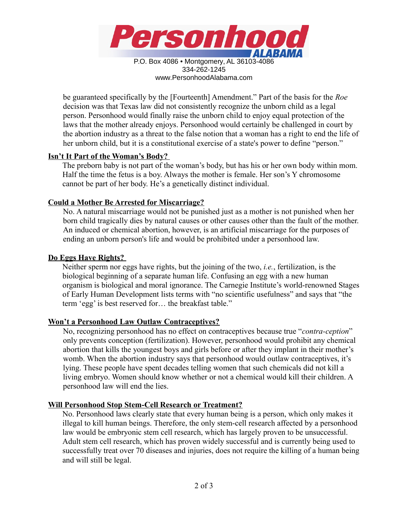

334-262-1245 www.PersonhoodAlabama.com

be guaranteed specifically by the [Fourteenth] Amendment." Part of the basis for the *Roe* decision was that Texas law did not consistently recognize the unborn child as a legal person. Personhood would finally raise the unborn child to enjoy equal protection of the laws that the mother already enjoys. Personhood would certainly be challenged in court by the abortion industry as a threat to the false notion that a woman has a right to end the life of her unborn child, but it is a constitutional exercise of a state's power to define "person."

# **Isn't It Part of the Woman's Body?**

The preborn baby is not part of the woman's body, but has his or her own body within mom. Half the time the fetus is a boy. Always the mother is female. Her son's Y chromosome cannot be part of her body. He's a genetically distinct individual.

# **Could a Mother Be Arrested for Miscarriage?**

No. A natural miscarriage would not be punished just as a mother is not punished when her born child tragically dies by natural causes or other causes other than the fault of the mother. An induced or chemical abortion, however, is an artificial miscarriage for the purposes of ending an unborn person's life and would be prohibited under a personhood law.

#### **Do Eggs Have Rights?**

Neither sperm nor eggs have rights, but the joining of the two, *i.e.*, fertilization, is the biological beginning of a separate human life. Confusing an egg with a new human organism is biological and moral ignorance. The Carnegie Institute's world-renowned Stages of Early Human Development lists terms with "no scientific usefulness" and says that "the term 'egg' is best reserved for… the breakfast table."

# **Won't a Personhood Law Outlaw Contraceptives?**

No, recognizing personhood has no effect on contraceptives because true "*contra-ception*" only prevents conception (fertilization). However, personhood would prohibit any chemical abortion that kills the youngest boys and girls before or after they implant in their mother's womb. When the abortion industry says that personhood would outlaw contraceptives, it's lying. These people have spent decades telling women that such chemicals did not kill a living embryo. Women should know whether or not a chemical would kill their children. A personhood law will end the lies.

# **Will Personhood Stop Stem-Cell Research or Treatment?**

No. Personhood laws clearly state that every human being is a person, which only makes it illegal to kill human beings. Therefore, the only stem-cell research affected by a personhood law would be embryonic stem cell research, which has largely proven to be unsuccessful. Adult stem cell research, which has proven widely successful and is currently being used to successfully treat over 70 diseases and injuries, does not require the killing of a human being and will still be legal.